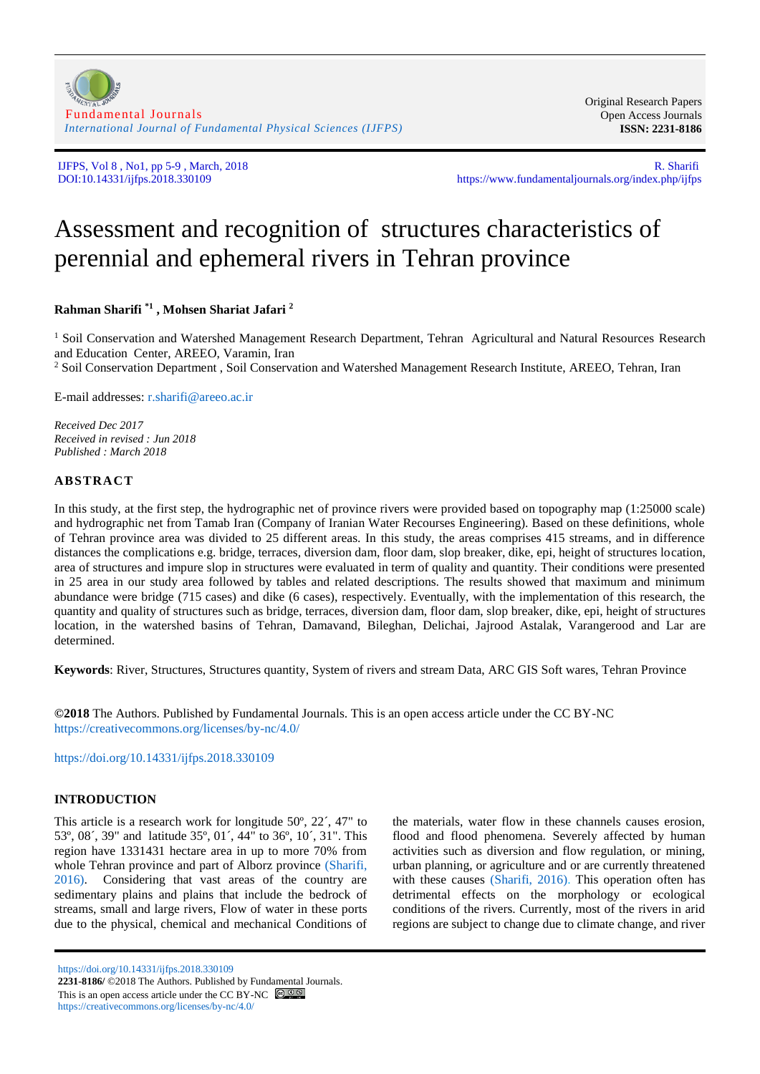

Original Research Papers Open Access Journals **ISSN: 2231-8186**

IJFPS, Vol 8, No1, pp 5-9, March, 2018<br>DOI:10.14331/ijfps.2018.330109 R. Sharifi https://www.fundamentaljournals.org/index.php/ijfps

# Assessment and recognition of structures characteristics of perennial and ephemeral rivers in Tehran province

**Rahman Sharifi \*1 , Mohsen Shariat Jafari <sup>2</sup>**

<sup>1</sup> Soil Conservation and Watershed Management Research Department, Tehran Agricultural and Natural Resources Research and Education Center, AREEO, Varamin, Iran

<sup>2</sup> Soil Conservation Department , Soil Conservation and Watershed Management Research Institute, AREEO, Tehran, Iran

E-mail addresses: [r.sharifi@areeo.ac.ir](mailto:r.sharifi@areeo.ac.ir)

*Received Dec 2017 Received in revised : Jun 2018 Published : March 2018*

# **ABSTRACT**

In this study, at the first step, the hydrographic net of province rivers were provided based on topography map (1:25000 scale) and hydrographic net from Tamab Iran (Company of Iranian Water Recourses Engineering). Based on these definitions, whole of Tehran province area was divided to 25 different areas. In this study, the areas comprises 415 streams, and in difference distances the complications e.g. bridge, terraces, diversion dam, floor dam, slop breaker, dike, epi, height of structures location, area of structures and impure slop in structures were evaluated in term of quality and quantity. Their conditions were presented in 25 area in our study area followed by tables and related descriptions. The results showed that maximum and minimum abundance were bridge (715 cases) and dike (6 cases), respectively. Eventually, with the implementation of this research, the quantity and quality of structures such as bridge, terraces, diversion dam, floor dam, slop breaker, dike, epi, height of structures location, in the watershed basins of Tehran, Damavand, Bileghan, Delichai, Jajrood Astalak, Varangerood and Lar are determined.

**Keywords**: River, Structures, Structures quantity, System of rivers and stream Data, ARC GIS Soft wares, Tehran Province

**©2018** The Authors. Published by Fundamental Journals. This is an open access article under the CC BY-NC <https://creativecommons.org/licenses/by-nc/4.0/>

<https://doi.org/10.14331/ijfps.2018.330109>

## **INTRODUCTION**

This article is a research work for longitude 50º, 22´, 47" to 53º, 08´, 39" and latitude 35º, 01´, 44" to 36º, 10´, 31". This region have 1331431 hectare area in up to more 70% from whole Tehran province and part of Alborz province (Sharifi, [2016\)](#page-4-0). Considering that vast areas of the country are sedimentary plains and plains that include the bedrock of streams, small and large rivers, Flow of water in these ports due to the physical, chemical and mechanical Conditions of the materials, water flow in these channels causes erosion, flood and flood phenomena. Severely affected by human activities such as diversion and flow regulation, or mining, urban planning, or agriculture and or are currently threatened with these causes [\(Sharifi, 2016\)](#page-4-0). This operation often has detrimental effects on the morphology or ecological conditions of the rivers. Currently, most of the rivers in arid regions are subject to change due to climate change, and river

<https://doi.org/10.14331/ijfps.2018.330109>

<https://creativecommons.org/licenses/by-nc/4.0/>

**<sup>2231-8186/</sup>** ©2018 The Authors. Published by Fundamental Journals. This is an open access article under the CC BY-NC  $\bigcirc$   $\bullet$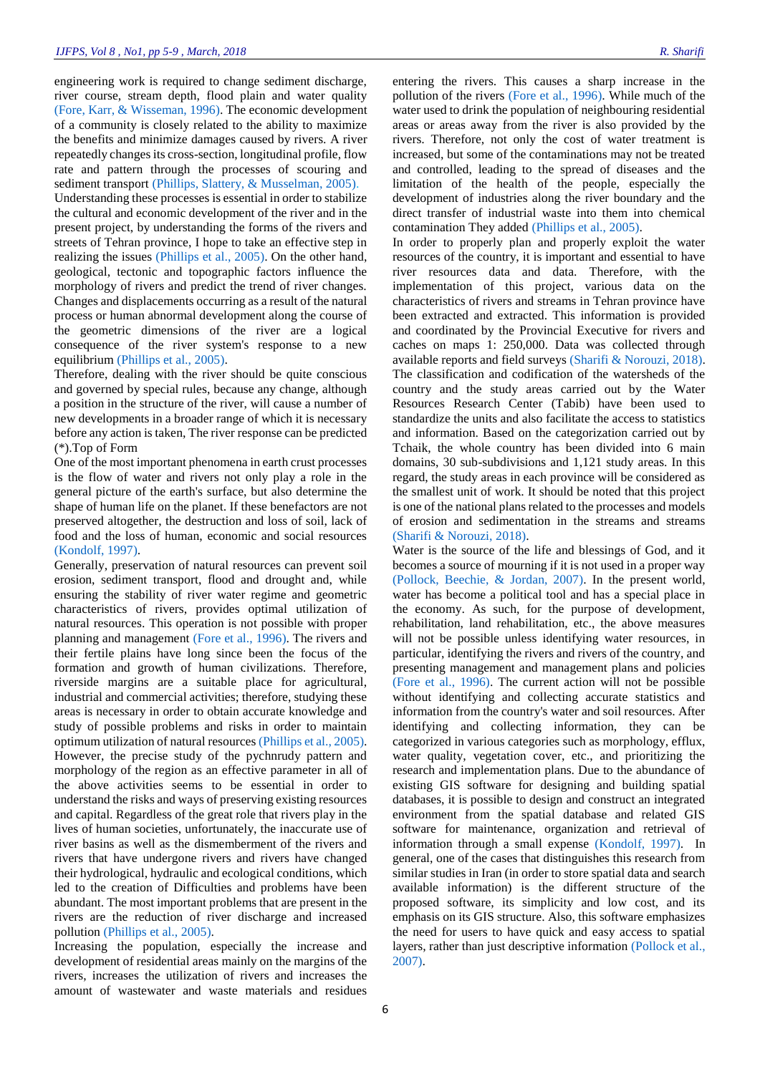engineering work is required to change sediment discharge, river course, stream depth, flood plain and water quality [\(Fore, Karr, & Wisseman, 1996\)](#page-4-1). The economic development of a community is closely related to the ability to maximize the benefits and minimize damages caused by rivers. A river repeatedly changes its cross-section, longitudinal profile, flow rate and pattern through the processes of scouring and sediment transport [\(Phillips, Slattery, & Musselman, 2005\)](#page-4-2). Understanding these processes is essential in order to stabilize the cultural and economic development of the river and in the present project, by understanding the forms of the rivers and

streets of Tehran province, I hope to take an effective step in realizing the issues [\(Phillips et al., 2005\)](#page-4-2). On the other hand, geological, tectonic and topographic factors influence the morphology of rivers and predict the trend of river changes. Changes and displacements occurring as a result of the natural process or human abnormal development along the course of the geometric dimensions of the river are a logical consequence of the river system's response to a new equilibrium [\(Phillips et al., 2005\)](#page-4-2).

Therefore, dealing with the river should be quite conscious and governed by special rules, because any change, although a position in the structure of the river, will cause a number of new developments in a broader range of which it is necessary before any action is taken, The river response can be predicted (\*).Top of Form

One of the most important phenomena in earth crust processes is the flow of water and rivers not only play a role in the general picture of the earth's surface, but also determine the shape of human life on the planet. If these benefactors are not preserved altogether, the destruction and loss of soil, lack of food and the loss of human, economic and social resources [\(Kondolf, 1997\)](#page-4-3).

Generally, preservation of natural resources can prevent soil erosion, sediment transport, flood and drought and, while ensuring the stability of river water regime and geometric characteristics of rivers, provides optimal utilization of natural resources. This operation is not possible with proper planning and management [\(Fore et al., 1996\)](#page-4-1). The rivers and their fertile plains have long since been the focus of the formation and growth of human civilizations. Therefore, riverside margins are a suitable place for agricultural, industrial and commercial activities; therefore, studying these areas is necessary in order to obtain accurate knowledge and study of possible problems and risks in order to maintain optimum utilization of natural resources [\(Phillips et al., 2005\)](#page-4-2). However, the precise study of the pychnrudy pattern and morphology of the region as an effective parameter in all of the above activities seems to be essential in order to understand the risks and ways of preserving existing resources and capital. Regardless of the great role that rivers play in the lives of human societies, unfortunately, the inaccurate use of river basins as well as the dismemberment of the rivers and rivers that have undergone rivers and rivers have changed their hydrological, hydraulic and ecological conditions, which led to the creation of Difficulties and problems have been abundant. The most important problems that are present in the rivers are the reduction of river discharge and increased pollution [\(Phillips et al., 2005\)](#page-4-2).

Increasing the population, especially the increase and development of residential areas mainly on the margins of the rivers, increases the utilization of rivers and increases the amount of wastewater and waste materials and residues

entering the rivers. This causes a sharp increase in the pollution of the rivers [\(Fore et al., 1996\)](#page-4-1). While much of the water used to drink the population of neighbouring residential areas or areas away from the river is also provided by the rivers. Therefore, not only the cost of water treatment is increased, but some of the contaminations may not be treated and controlled, leading to the spread of diseases and the limitation of the health of the people, especially the development of industries along the river boundary and the direct transfer of industrial waste into them into chemical contamination They added [\(Phillips et al., 2005\)](#page-4-2).

In order to properly plan and properly exploit the water resources of the country, it is important and essential to have river resources data and data. Therefore, with the implementation of this project, various data on the characteristics of rivers and streams in Tehran province have been extracted and extracted. This information is provided and coordinated by the Provincial Executive for rivers and caches on maps 1: 250,000. Data was collected through available reports and field surveys [\(Sharifi & Norouzi, 2018\)](#page-4-4). The classification and codification of the watersheds of the country and the study areas carried out by the Water Resources Research Center (Tabib) have been used to standardize the units and also facilitate the access to statistics and information. Based on the categorization carried out by Tchaik, the whole country has been divided into 6 main domains, 30 sub-subdivisions and 1,121 study areas. In this regard, the study areas in each province will be considered as the smallest unit of work. It should be noted that this project is one of the national plans related to the processes and models of erosion and sedimentation in the streams and streams [\(Sharifi & Norouzi, 2018\)](#page-4-4).

Water is the source of the life and blessings of God, and it becomes a source of mourning if it is not used in a proper way [\(Pollock, Beechie, & Jordan, 2007\)](#page-4-5). In the present world, water has become a political tool and has a special place in the economy. As such, for the purpose of development, rehabilitation, land rehabilitation, etc., the above measures will not be possible unless identifying water resources, in particular, identifying the rivers and rivers of the country, and presenting management and management plans and policies [\(Fore et al., 1996\)](#page-4-1). The current action will not be possible without identifying and collecting accurate statistics and information from the country's water and soil resources. After identifying and collecting information, they can be categorized in various categories such as morphology, efflux, water quality, vegetation cover, etc., and prioritizing the research and implementation plans. Due to the abundance of existing GIS software for designing and building spatial databases, it is possible to design and construct an integrated environment from the spatial database and related GIS software for maintenance, organization and retrieval of information through a small expense [\(Kondolf, 1997\)](#page-4-3). In general, one of the cases that distinguishes this research from similar studies in Iran (in order to store spatial data and search available information) is the different structure of the proposed software, its simplicity and low cost, and its emphasis on its GIS structure. Also, this software emphasizes the need for users to have quick and easy access to spatial layers, rather than just descriptive information [\(Pollock et al.,](#page-4-5)  [2007\)](#page-4-5).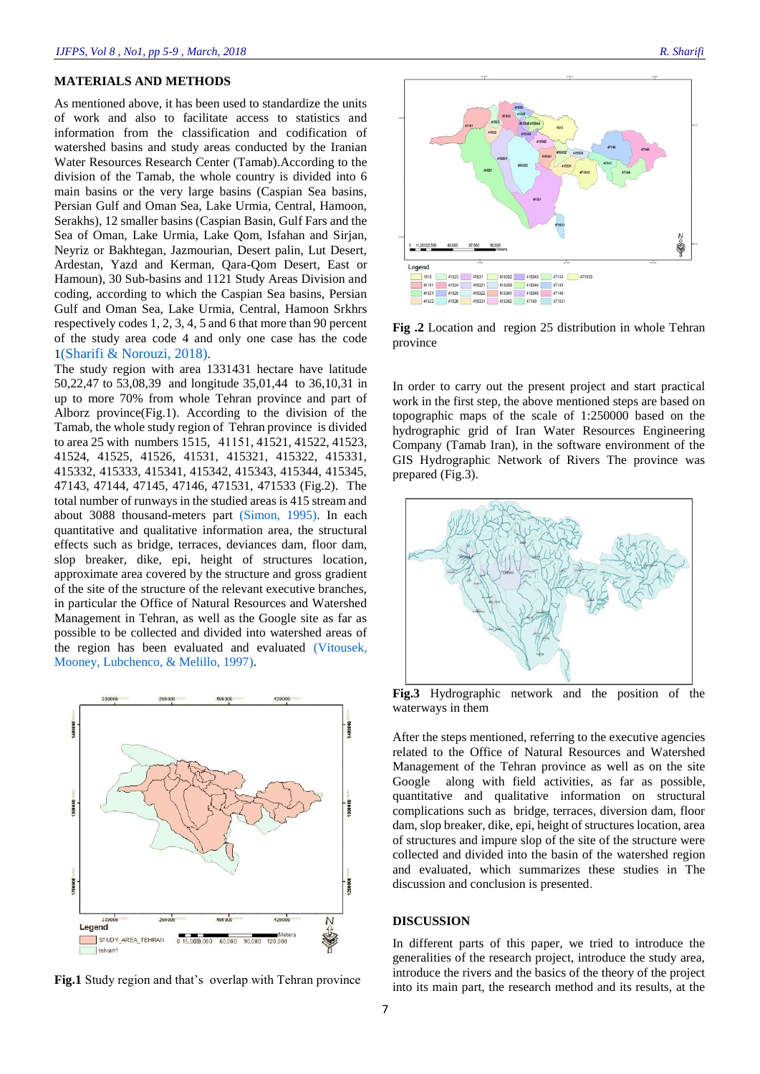#### **MATERIALS AND METHODS**

As mentioned above, it has been used to standardize the units of work and also to facilitate access to statistics and information from the classification and codification of watershed basins and study areas conducted by the Iranian Water Resources Research Center (Tamab).According to the division of the Tamab, the whole country is divided into 6 main basins or the very large basins (Caspian Sea basins, Persian Gulf and Oman Sea, Lake Urmia, Central, Hamoon, Serakhs), 12 smaller basins (Caspian Basin, Gulf Fars and the Sea of Oman, Lake Urmia, Lake Qom, Isfahan and Sirjan, Neyriz or Bakhtegan, Jazmourian, Desert palin, Lut Desert, Ardestan, Yazd and Kerman, Qara-Qom Desert, East or Hamoun), 30 Sub-basins and 1121 Study Areas Division and coding, according to which the Caspian Sea basins, Persian Gulf and Oman Sea, Lake Urmia, Central, Hamoon Srkhrs respectively codes 1, 2, 3, 4, 5 and 6 that more than 90 percent of the study area code 4 and only one case has the code 1[\(Sharifi & Norouzi, 2018\)](#page-4-4).

The study region with area 1331431 hectare have latitude 50,22,47 to 53,08,39 and longitude 35,01,44 to 36,10,31 in up to more 70% from whole Tehran province and part of Alborz province(Fig.1). According to the division of the Tamab, the whole study region of Tehran province is divided to area 25 with numbers 1515, 41151, 41521, 41522, 41523, 41524, 41525, 41526, 41531, 415321, 415322, 415331, 415332, 415333, 415341, 415342, 415343, 415344, 415345, 47143, 47144, 47145, 47146, 471531, 471533 (Fig.2). The total number of runways in the studied areas is 415 stream and about 3088 thousand-meters part [\(Simon, 1995\)](#page-4-6). In each quantitative and qualitative information area, the structural effects such as bridge, terraces, deviances dam, floor dam, slop breaker, dike, epi, height of structures location, approximate area covered by the structure and gross gradient of the site of the structure of the relevant executive branches, in particular the Office of Natural Resources and Watershed Management in Tehran, as well as the Google site as far as possible to be collected and divided into watershed areas of the region has been evaluated and evaluated [\(Vitousek,](#page-4-7)  [Mooney, Lubchenco, & Melillo, 1997\)](#page-4-7).



**Fig.1** Study region and that's overlap with Tehran province



**Fig .2** Location and region 25 distribution in whole Tehran province

In order to carry out the present project and start practical work in the first step, the above mentioned steps are based on topographic maps of the scale of 1:250000 based on the hydrographic grid of Iran Water Resources Engineering Company (Tamab Iran), in the software environment of the GIS Hydrographic Network of Rivers The province was prepared (Fig.3).



**Fig.3** Hydrographic network and the position of the waterways in them

After the steps mentioned, referring to the executive agencies related to the Office of Natural Resources and Watershed Management of the Tehran province as well as on the site Google along with field activities, as far as possible, quantitative and qualitative information on structural complications such as bridge, terraces, diversion dam, floor dam, slop breaker, dike, epi, height of structures location, area of structures and impure slop of the site of the structure were collected and divided into the basin of the watershed region and evaluated, which summarizes these studies in The discussion and conclusion is presented.

## **DISCUSSION**

In different parts of this paper, we tried to introduce the generalities of the research project, introduce the study area, introduce the rivers and the basics of the theory of the project into its main part, the research method and its results, at the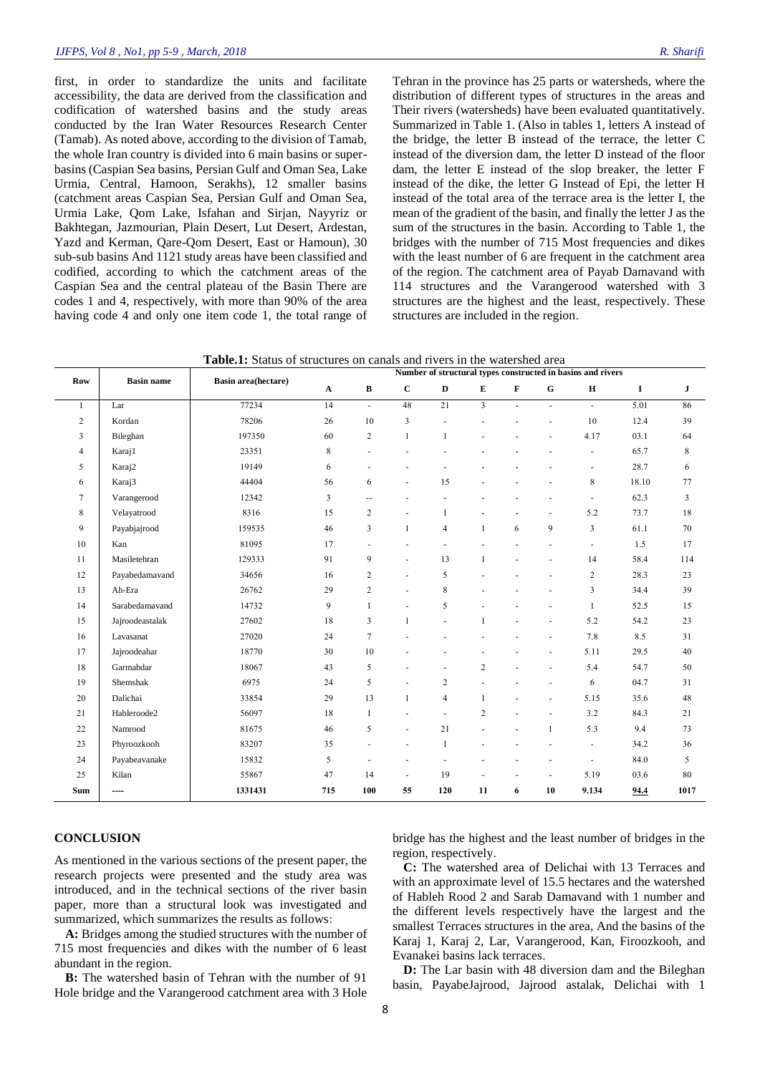first, in order to standardize the units and facilitate accessibility, the data are derived from the classification and codification of watershed basins and the study areas conducted by the Iran Water Resources Research Center (Tamab). As noted above, according to the division of Tamab, the whole Iran country is divided into 6 main basins or superbasins (Caspian Sea basins, Persian Gulf and Oman Sea, Lake Urmia, Central, Hamoon, Serakhs), 12 smaller basins (catchment areas Caspian Sea, Persian Gulf and Oman Sea, Urmia Lake, Qom Lake, Isfahan and Sirjan, Nayyriz or Bakhtegan, Jazmourian, Plain Desert, Lut Desert, Ardestan, Yazd and Kerman, Qare-Qom Desert, East or Hamoun), 30 sub-sub basins And 1121 study areas have been classified and codified, according to which the catchment areas of the Caspian Sea and the central plateau of the Basin There are codes 1 and 4, respectively, with more than 90% of the area having code 4 and only one item code 1, the total range of Tehran in the province has 25 parts or watersheds, where the distribution of different types of structures in the areas and Their rivers (watersheds) have been evaluated quantitatively. Summarized in Table 1. (Also in tables 1, letters A instead of the bridge, the letter B instead of the terrace, the letter C instead of the diversion dam, the letter D instead of the floor dam, the letter E instead of the slop breaker, the letter F instead of the dike, the letter G Instead of Epi, the letter H instead of the total area of the terrace area is the letter I, the mean of the gradient of the basin, and finally the letter J as the sum of the structures in the basin. According to Table 1, the bridges with the number of 715 Most frequencies and dikes with the least number of 6 are frequent in the catchment area of the region. The catchment area of Payab Damavand with 114 structures and the Varangerood watershed with 3 structures are the highest and the least, respectively. These structures are included in the region.

| Row            | <b>Basin name</b> | <b>Basin area(hectare)</b> | Number of structural types constructed in basins and rivers |                 |                      |                 |                          |             |                          |                          |          |                         |
|----------------|-------------------|----------------------------|-------------------------------------------------------------|-----------------|----------------------|-----------------|--------------------------|-------------|--------------------------|--------------------------|----------|-------------------------|
|                |                   |                            | $\mathbf A$                                                 | B               | $\mathbf{C}$         | $\mathbf D$     | ${\bf E}$                | $\mathbf F$ | $\mathbf G$              | $\bf H$                  | $\bf{I}$ | $\bf J$                 |
| $\mathbf{1}$   | Lar               | 77234                      | 14                                                          | $\blacksquare$  | 48                   | $\overline{21}$ | $\overline{3}$           | ÷.          | $\mathbf{r}$             | $\omega$ .               | 5.01     | 86                      |
| $\overline{c}$ | Kordan            | 78206                      | 26                                                          | 10              | 3                    | ä,              |                          |             |                          | 10                       | 12.4     | 39                      |
| 3              | Bileghan          | 197350                     | 60                                                          | $\overline{c}$  | $\mathbf{1}$         | $\mathbf{1}$    |                          |             |                          | 4.17                     | 03.1     | 64                      |
| 4              | Karaj1            | 23351                      | 8                                                           | ٠               |                      |                 |                          |             |                          | $\blacksquare$           | 65.7     | 8                       |
| 5              | Karaj2            | 19149                      | 6                                                           |                 |                      |                 |                          |             |                          | $\overline{\phantom{a}}$ | 28.7     | 6                       |
| 6              | Karaj3            | 44404                      | 56                                                          | 6               |                      | 15              |                          |             |                          | 8                        | 18.10    | 77                      |
| $\overline{7}$ | Varangerood       | 12342                      | 3                                                           | $\overline{a}$  |                      |                 |                          |             |                          | $\blacksquare$           | 62.3     | $\overline{\mathbf{3}}$ |
| 8              | Velayatrood       | 8316                       | 15                                                          | $\overline{2}$  |                      | 1               |                          |             |                          | 5.2                      | 73.7     | 18                      |
| 9              | Payabjajrood      | 159535                     | 46                                                          | 3               | $\mathbf{1}$         | 4               | $\mathbf{1}$             | 6           | 9                        | 3                        | 61.1     | 70                      |
| 10             | Kan               | 81095                      | 17                                                          | ٠               |                      | ä,              |                          |             | ÷,                       | $\overline{\phantom{a}}$ | 1.5      | 17                      |
| 11             | Masiletehran      | 129333                     | 91                                                          | 9               | ÷,                   | 13              | $\mathbf{1}$             |             |                          | 14                       | 58.4     | 114                     |
| 12             | Payabedamavand    | 34656                      | 16                                                          | $\overline{2}$  | ÷.                   | 5               |                          |             |                          | $\overline{2}$           | 28.3     | 23                      |
| 13             | Ah-Era            | 26762                      | 29                                                          | $\overline{2}$  | ä,                   | 8               |                          |             | ÷,                       | 3                        | 34.4     | 39                      |
| 14             | Sarabedamavand    | 14732                      | 9                                                           | 1               | ÷.                   | 5               |                          |             | ÷.                       | $\mathbf{1}$             | 52.5     | 15                      |
| 15             | Jajroodeastalak   | 27602                      | 18                                                          | 3               | $\mathbf{1}$         | ä,              | 1                        |             | ÷,                       | 5.2                      | 54.2     | 23                      |
| 16             | Lavasanat         | 27020                      | 24                                                          | $7\phantom{.0}$ |                      |                 |                          |             | $\overline{\phantom{a}}$ | 7.8                      | 8.5      | 31                      |
| 17             | Jajroodeahar      | 18770                      | 30                                                          | 10              |                      |                 |                          |             | ٠                        | 5.11                     | 29.5     | 40                      |
| 18             | Garmabdar         | 18067                      | 43                                                          | 5               | ÷,                   | ä,              | $\overline{c}$           |             | L.                       | 5.4                      | 54.7     | 50                      |
| 19             | Shemshak          | 6975                       | 24                                                          | 5               | ä,                   | $\overline{c}$  | ä,                       |             | ä,                       | 6                        | 04.7     | 31                      |
| 20             | Dalichai          | 33854                      | 29                                                          | 13              | $\mathbf{1}$         | $\overline{4}$  | $\mathbf{1}$             |             | $\sim$                   | 5.15                     | 35.6     | 48                      |
| 21             | Hableroode2       | 56097                      | 18                                                          | $\mathbf{1}$    | ÷,                   | $\blacksquare$  | 2                        |             | ä,                       | 3.2                      | 84.3     | 21                      |
| 22             | Namrood           | 81675                      | 46                                                          | 5               | ä,                   | 21              | $\overline{\phantom{a}}$ |             | $\mathbf{1}$             | 5.3                      | 9.4      | 73                      |
| 23             | Phyroozkooh       | 83207                      | 35                                                          | ٠               | $\ddot{\phantom{1}}$ | $\mathbf{1}$    |                          |             |                          | $\overline{\phantom{a}}$ | 34.2     | 36                      |
| 24             | Payabeavanake     | 15832                      | 5                                                           | ä,              |                      | ä,              |                          |             |                          | ä,                       | 84.0     | 5                       |
| 25             | Kilan             | 55867                      | 47                                                          | 14              | $\sim$               | 19              |                          |             | $\sim$                   | 5.19                     | 03.6     | 80                      |
| Sum            | ----              | 1331431                    | 715                                                         | 100             | 55                   | 120             | 11                       | 6           | 10                       | 9.134                    | 94.4     | 1017                    |

**Table.1:** Status of structures on canals and rivers in the watershed area

#### **CONCLUSION**

As mentioned in the various sections of the present paper, the research projects were presented and the study area was introduced, and in the technical sections of the river basin paper, more than a structural look was investigated and summarized, which summarizes the results as follows:

**A:** Bridges among the studied structures with the number of 715 most frequencies and dikes with the number of 6 least abundant in the region.

**B:** The watershed basin of Tehran with the number of 91 Hole bridge and the Varangerood catchment area with 3 Hole bridge has the highest and the least number of bridges in the region, respectively.

**C:** The watershed area of Delichai with 13 Terraces and with an approximate level of 15.5 hectares and the watershed of Hableh Rood 2 and Sarab Damavand with 1 number and the different levels respectively have the largest and the smallest Terraces structures in the area, And the basins of the Karaj 1, Karaj 2, Lar, Varangerood, Kan, Firoozkooh, and Evanakei basins lack terraces.

**D:** The Lar basin with 48 diversion dam and the Bileghan basin, PayabeJajrood, Jajrood astalak, Delichai with 1